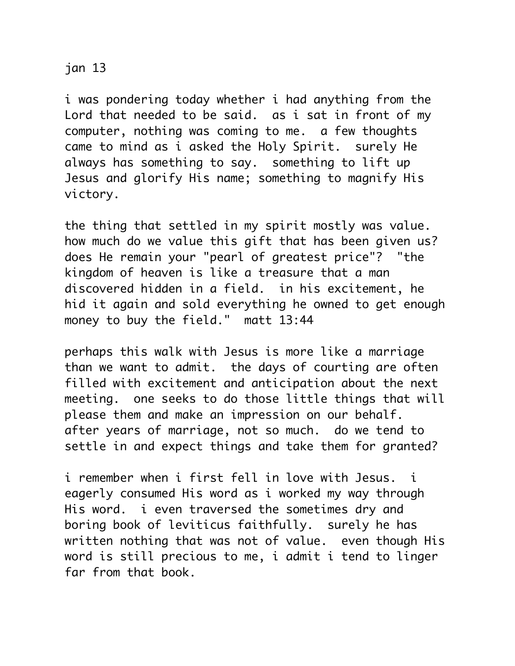## jan 13

i was pondering today whether i had anything from the Lord that needed to be said. as i sat in front of my computer, nothing was coming to me. a few thoughts came to mind as i asked the Holy Spirit. surely He always has something to say. something to lift up Jesus and glorify His name; something to magnify His victory.

the thing that settled in my spirit mostly was value. how much do we value this gift that has been given us? does He remain your "pearl of greatest price"? "the kingdom of heaven is like a treasure that a man discovered hidden in a field. in his excitement, he hid it again and sold everything he owned to get enough money to buy the field." matt 13:44

perhaps this walk with Jesus is more like a marriage than we want to admit. the days of courting are often filled with excitement and anticipation about the next meeting. one seeks to do those little things that will please them and make an impression on our behalf. after years of marriage, not so much. do we tend to settle in and expect things and take them for granted?

i remember when i first fell in love with Jesus. i eagerly consumed His word as i worked my way through His word. i even traversed the sometimes dry and boring book of leviticus faithfully. surely he has written nothing that was not of value. even though His word is still precious to me, i admit i tend to linger far from that book.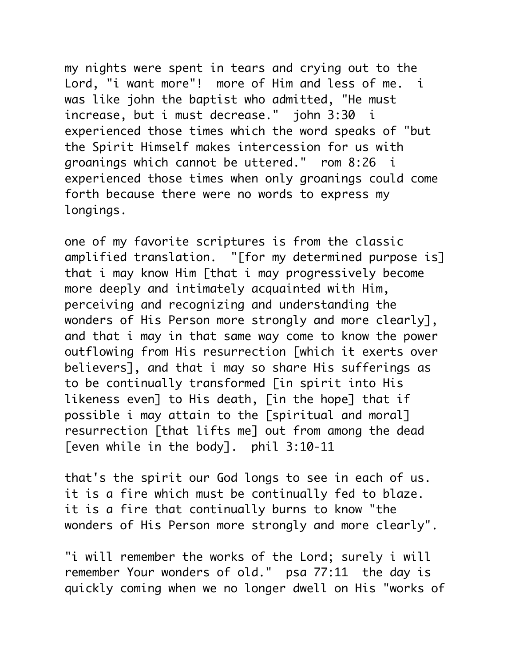my nights were spent in tears and crying out to the Lord, "i want more"! more of Him and less of me. i was like john the baptist who admitted, "He must increase, but i must decrease." john 3:30 i experienced those times which the word speaks of "but the Spirit Himself makes intercession for us with groanings which cannot be uttered." rom 8:26 i experienced those times when only groanings could come forth because there were no words to express my longings.

one of my favorite scriptures is from the classic amplified translation. "[for my determined purpose is] that i may know Him [that i may progressively become more deeply and intimately acquainted with Him, perceiving and recognizing and understanding the wonders of His Person more strongly and more clearly], and that i may in that same way come to know the power outflowing from His resurrection [which it exerts over believers], and that i may so share His sufferings as to be continually transformed [in spirit into His likeness even] to His death, [in the hope] that if possible i may attain to the [spiritual and moral] resurrection [that lifts me] out from among the dead [even while in the body]. phil 3:10-11

that's the spirit our God longs to see in each of us. it is a fire which must be continually fed to blaze. it is a fire that continually burns to know "the wonders of His Person more strongly and more clearly".

"i will remember the works of the Lord; surely i will remember Your wonders of old." psa 77:11 the day is quickly coming when we no longer dwell on His "works of